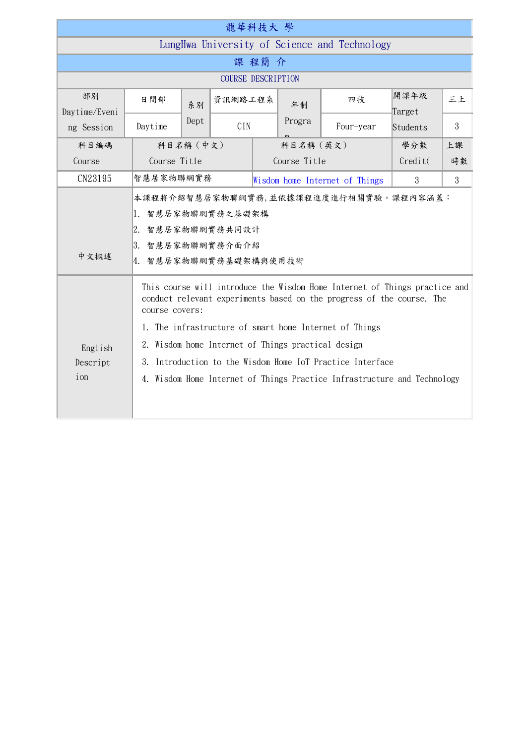| 龍華科技大 學                                      |                                                                                                                                                                                                                                                                                                                                                                                                                                                                                                                                                                                                                 |           |            |  |              |           |                |    |  |  |  |
|----------------------------------------------|-----------------------------------------------------------------------------------------------------------------------------------------------------------------------------------------------------------------------------------------------------------------------------------------------------------------------------------------------------------------------------------------------------------------------------------------------------------------------------------------------------------------------------------------------------------------------------------------------------------------|-----------|------------|--|--------------|-----------|----------------|----|--|--|--|
| LungHwa University of Science and Technology |                                                                                                                                                                                                                                                                                                                                                                                                                                                                                                                                                                                                                 |           |            |  |              |           |                |    |  |  |  |
| 課程簡介                                         |                                                                                                                                                                                                                                                                                                                                                                                                                                                                                                                                                                                                                 |           |            |  |              |           |                |    |  |  |  |
| <b>COURSE DESCRIPTION</b>                    |                                                                                                                                                                                                                                                                                                                                                                                                                                                                                                                                                                                                                 |           |            |  |              |           |                |    |  |  |  |
| 部別<br>Daytime/Eveni                          | 日間部                                                                                                                                                                                                                                                                                                                                                                                                                                                                                                                                                                                                             | 系別        | 資訊網路工程系    |  | 年制           | 四技        | 開課年級<br>Target | 三上 |  |  |  |
| ng Session                                   | Daytime                                                                                                                                                                                                                                                                                                                                                                                                                                                                                                                                                                                                         | Dept      | <b>CIN</b> |  | Progra       | Four-year | Students       | 3  |  |  |  |
| 科目編碼                                         |                                                                                                                                                                                                                                                                                                                                                                                                                                                                                                                                                                                                                 | 科目名稱 (中文) |            |  | 科目名稱 (英文)    |           | 上課<br>學分數      |    |  |  |  |
| Course                                       | Course Title                                                                                                                                                                                                                                                                                                                                                                                                                                                                                                                                                                                                    |           |            |  | Course Title | Credit(   | 時數             |    |  |  |  |
| CN23195                                      |                                                                                                                                                                                                                                                                                                                                                                                                                                                                                                                                                                                                                 |           |            |  |              |           | 3              | 3  |  |  |  |
| 中文概述<br>English<br>Descript<br>ion           | 智慧居家物聯網實務<br>Wisdom home Internet of Things<br>本課程將介紹智慧居家物聯網實務,並依據課程進度進行相關實驗。課程內容涵蓋:<br>1. 智慧居家物聯網實務之基礎架構<br>2. 智慧居家物聯網實務共同設計<br>3. 智慧居家物聯網實務介面介紹<br>4. 智慧居家物聯網實務基礎架構與使用技術<br>This course will introduce the Wisdom Home Internet of Things practice and<br>conduct relevant experiments based on the progress of the course. The<br>course covers:<br>1. The infrastructure of smart home Internet of Things<br>2. Wisdom home Internet of Things practical design<br>Introduction to the Wisdom Home IoT Practice Interface<br>3.<br>4. Wisdom Home Internet of Things Practice Infrastructure and Technology |           |            |  |              |           |                |    |  |  |  |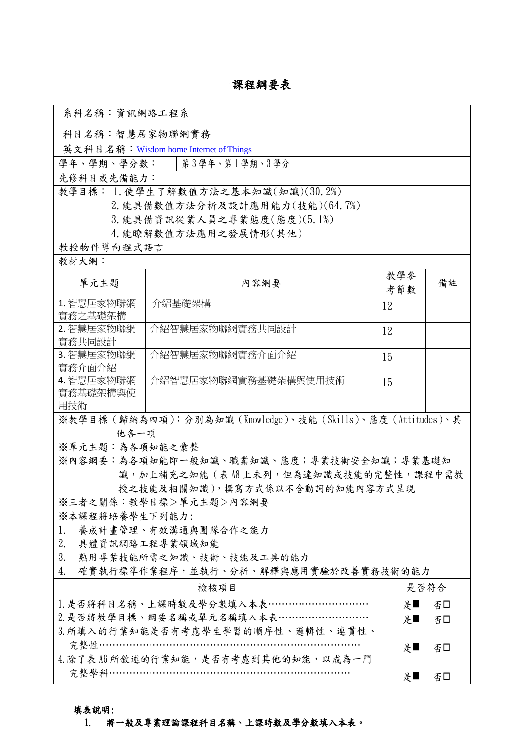## 課程綱要表

| 系科名稱:資訊網路工程系                                            |                                                              |     |      |  |  |  |  |  |  |
|---------------------------------------------------------|--------------------------------------------------------------|-----|------|--|--|--|--|--|--|
| 科目名稱:智慧居家物聯網實務                                          |                                                              |     |      |  |  |  |  |  |  |
|                                                         | 英文科目名稱: Wisdom home Internet of Things                       |     |      |  |  |  |  |  |  |
| 學年、學期、學分數:                                              | 第3學年、第1學期、3學分                                                |     |      |  |  |  |  |  |  |
| 先修科目或先備能力:                                              |                                                              |     |      |  |  |  |  |  |  |
|                                                         | 教學目標: 1. 使學生了解數值方法之基本知識(知識)(30.2%)                           |     |      |  |  |  |  |  |  |
| 2. 能具備數值方法分析及設計應用能力(技能)(64.7%)                          |                                                              |     |      |  |  |  |  |  |  |
|                                                         | 3. 能具備資訊從業人員之專業態度(態度)(5.1%)                                  |     |      |  |  |  |  |  |  |
|                                                         | 4. 能瞭解數值方法應用之發展情形(其他)                                        |     |      |  |  |  |  |  |  |
| 教授物件導向程式語言                                              |                                                              |     |      |  |  |  |  |  |  |
| 教材大網:                                                   |                                                              |     |      |  |  |  |  |  |  |
| 單元主題                                                    | 教學參                                                          | 備註  |      |  |  |  |  |  |  |
|                                                         | 內容網要                                                         | 考節數 |      |  |  |  |  |  |  |
| 1. 智慧居家物聯網                                              | 介紹基礎架構                                                       | 12  |      |  |  |  |  |  |  |
| 實務之基礎架構<br>2. 智慧居家物聯網                                   | 介紹智慧居家物聯網實務共同設計                                              |     |      |  |  |  |  |  |  |
| 實務共同設計                                                  |                                                              | 12  |      |  |  |  |  |  |  |
| 3. 智慧居家物聯網                                              | 介紹智慧居家物聯網實務介面介紹                                              | 15  |      |  |  |  |  |  |  |
| 實務介面介紹                                                  |                                                              |     |      |  |  |  |  |  |  |
| 4. 智慧居家物聯網                                              | 介紹智慧居家物聯網實務基礎架構與使用技術                                         | 15  |      |  |  |  |  |  |  |
| 實務基礎架構與使                                                |                                                              |     |      |  |  |  |  |  |  |
| 用技術                                                     |                                                              |     |      |  |  |  |  |  |  |
|                                                         | ※教學目標 (歸納為四項):分別為知識 (Knowledge)、技能 (Skills)、態度 (Attitudes)、其 |     |      |  |  |  |  |  |  |
| 他各一項                                                    |                                                              |     |      |  |  |  |  |  |  |
| ※單元主題:為各項知能之彙整                                          |                                                              |     |      |  |  |  |  |  |  |
| ※內容網要:為各項知能即一般知識、職業知識、態度;專業技術安全知識;專業基礎知                 |                                                              |     |      |  |  |  |  |  |  |
| 識, 加上補充之知能 ( 表 A8 上未列, 但為達知識或技能的完整性, 課程中需教              |                                                              |     |      |  |  |  |  |  |  |
| 授之技能及相關知識),撰寫方式係以不含動詞的知能內容方式呈現<br>※三者之關係:教學目標>單元主題>內容網要 |                                                              |     |      |  |  |  |  |  |  |
|                                                         |                                                              |     |      |  |  |  |  |  |  |
| ※本課程將培養學生下列能力:<br>養成計畫管理、有效溝通與團隊合作之能力                   |                                                              |     |      |  |  |  |  |  |  |
| 1.<br>2.<br>具體資訊網路工程專業領域知能                              |                                                              |     |      |  |  |  |  |  |  |
| 3.                                                      | 熟用專業技能所需之知識、技術、技能及工具的能力                                      |     |      |  |  |  |  |  |  |
| 4.                                                      | 確實執行標準作業程序,並執行、分析、解釋與應用實驗於改善實務技術的能力                          |     |      |  |  |  |  |  |  |
|                                                         | 檢核項目                                                         |     | 是否符合 |  |  |  |  |  |  |
|                                                         | 1. 是否將科目名稱、上課時數及學分數填入本表…………………………                            | 是■  |      |  |  |  |  |  |  |
|                                                         | 2. 是否將教學目標、綱要名稱或單元名稱填入本表………………………                            | 是■  | 否口   |  |  |  |  |  |  |
|                                                         | 3. 所填入的行業知能是否有考慮學生學習的順序性、邏輯性、連貫性、                            |     | 否□   |  |  |  |  |  |  |
|                                                         | 完整性………………………………………………………………                                  |     |      |  |  |  |  |  |  |
|                                                         | 4. 除了表 A6 所敘述的行業知能,是否有考慮到其他的知能,以成為一門                         | 是■  | 否口   |  |  |  |  |  |  |
|                                                         | 完整學科……………………………………………………………                                  | 是■  |      |  |  |  |  |  |  |
|                                                         |                                                              |     | 否口   |  |  |  |  |  |  |

## 填表說明:

## 1. 將一般及專業理論課程科目名稱、上課時數及學分數填入本表。